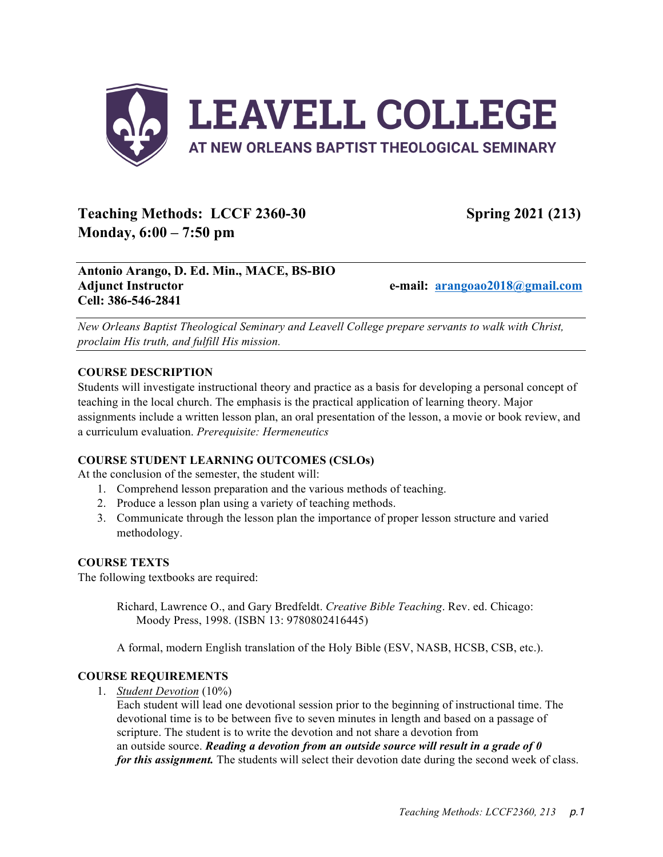

# **Teaching Methods:** LCCF 2360-30 Spring 2021 (213) **Monday, 6:00 – 7:50 pm**

# **Antonio Arango, D. Ed. Min., MACE, BS-BIO Adjunct Instructor e-mail: arangoao2018@gmail.com Cell: 386-546-2841**

*New Orleans Baptist Theological Seminary and Leavell College prepare servants to walk with Christ, proclaim His truth, and fulfill His mission.*

# **COURSE DESCRIPTION**

Students will investigate instructional theory and practice as a basis for developing a personal concept of teaching in the local church. The emphasis is the practical application of learning theory. Major assignments include a written lesson plan, an oral presentation of the lesson, a movie or book review, and a curriculum evaluation. *Prerequisite: Hermeneutics*

# **COURSE STUDENT LEARNING OUTCOMES (CSLOs)**

At the conclusion of the semester, the student will:

- 1. Comprehend lesson preparation and the various methods of teaching.
- 2. Produce a lesson plan using a variety of teaching methods.
- 3. Communicate through the lesson plan the importance of proper lesson structure and varied methodology.

# **COURSE TEXTS**

The following textbooks are required:

Richard, Lawrence O., and Gary Bredfeldt. *Creative Bible Teaching*. Rev. ed. Chicago: Moody Press, 1998. (ISBN 13: 9780802416445)

A formal, modern English translation of the Holy Bible (ESV, NASB, HCSB, CSB, etc.).

# **COURSE REQUIREMENTS**

1. *Student Devotion* (10%)

Each student will lead one devotional session prior to the beginning of instructional time. The devotional time is to be between five to seven minutes in length and based on a passage of scripture. The student is to write the devotion and not share a devotion from an outside source. *Reading a devotion from an outside source will result in a grade of 0 for this assignment*. The students will select their devotion date during the second week of class.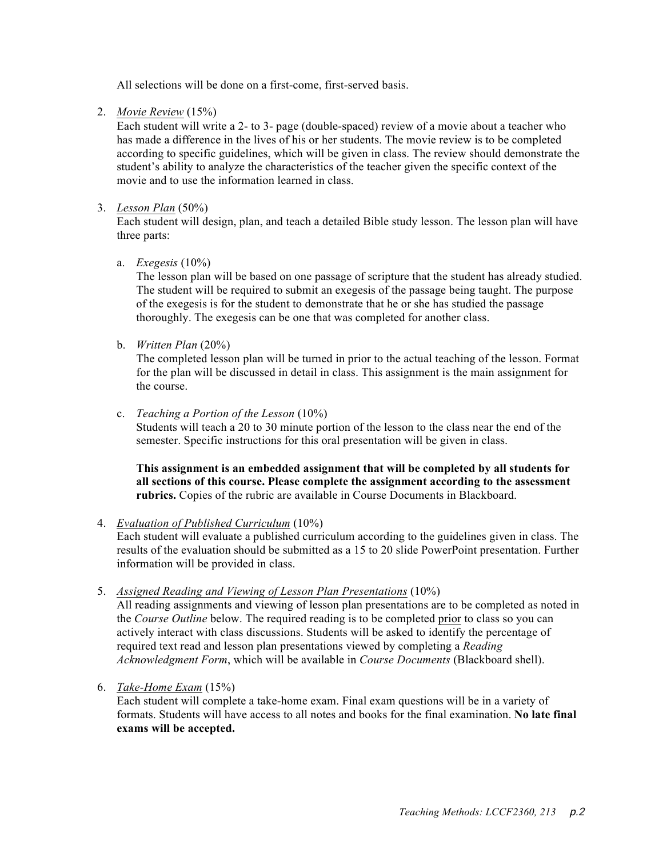All selections will be done on a first-come, first-served basis.

2. *Movie Review* (15%)

Each student will write a 2- to 3- page (double-spaced) review of a movie about a teacher who has made a difference in the lives of his or her students. The movie review is to be completed according to specific guidelines, which will be given in class. The review should demonstrate the student's ability to analyze the characteristics of the teacher given the specific context of the movie and to use the information learned in class.

### 3. *Lesson Plan* (50%)

Each student will design, plan, and teach a detailed Bible study lesson. The lesson plan will have three parts:

### a. *Exegesis* (10%)

The lesson plan will be based on one passage of scripture that the student has already studied. The student will be required to submit an exegesis of the passage being taught. The purpose of the exegesis is for the student to demonstrate that he or she has studied the passage thoroughly. The exegesis can be one that was completed for another class.

b. *Written Plan* (20%)

The completed lesson plan will be turned in prior to the actual teaching of the lesson. Format for the plan will be discussed in detail in class. This assignment is the main assignment for the course.

c. *Teaching a Portion of the Lesson* (10%)

Students will teach a 20 to 30 minute portion of the lesson to the class near the end of the semester. Specific instructions for this oral presentation will be given in class.

**This assignment is an embedded assignment that will be completed by all students for all sections of this course. Please complete the assignment according to the assessment rubrics.** Copies of the rubric are available in Course Documents in Blackboard.

#### 4. *Evaluation of Published Curriculum* (10%)

Each student will evaluate a published curriculum according to the guidelines given in class. The results of the evaluation should be submitted as a 15 to 20 slide PowerPoint presentation. Further information will be provided in class.

5. *Assigned Reading and Viewing of Lesson Plan Presentations* (10%)

All reading assignments and viewing of lesson plan presentations are to be completed as noted in the *Course Outline* below. The required reading is to be completed prior to class so you can actively interact with class discussions. Students will be asked to identify the percentage of required text read and lesson plan presentations viewed by completing a *Reading Acknowledgment Form*, which will be available in *Course Documents* (Blackboard shell).

6. *Take-Home Exam* (15%)

Each student will complete a take-home exam. Final exam questions will be in a variety of formats. Students will have access to all notes and books for the final examination. **No late final exams will be accepted.**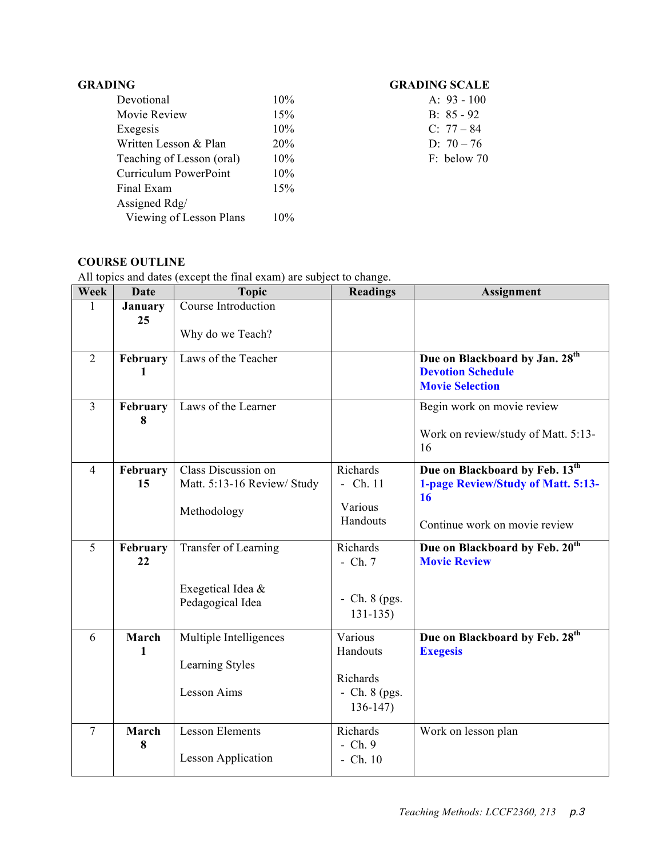| Devotional                | 10%        | A: $93 - 100$ |
|---------------------------|------------|---------------|
| Movie Review              | 15%        | B: $85 - 92$  |
| Exegesis                  | 10%        | C: $77 - 84$  |
| Written Lesson & Plan     | <b>20%</b> | D: $70 - 76$  |
| Teaching of Lesson (oral) | 10%        | F: below 70   |
| Curriculum PowerPoint     | 10%        |               |
| Final Exam                | 15%        |               |
| Assigned Rdg/             |            |               |
| Viewing of Lesson Plans   | 10%        |               |
|                           |            |               |

# **GRADING GRADING SCALE**

| A: $93 - 100$ |
|---------------|
| $B: 85 - 92$  |
| $C: 77 - 84$  |
| D: $70 - 76$  |
| F: below 70   |

# **COURSE OUTLINE**

All topics and dates (except the final exam) are subject to change.

| Week           | <b>Date</b> | <b>Topic</b>                | Readings        | <b>Assignment</b>                          |
|----------------|-------------|-----------------------------|-----------------|--------------------------------------------|
| 1              | January     | Course Introduction         |                 |                                            |
|                | 25          |                             |                 |                                            |
|                |             | Why do we Teach?            |                 |                                            |
| $\overline{2}$ | February    | Laws of the Teacher         |                 | Due on Blackboard by Jan. 28th             |
|                | 1           |                             |                 | <b>Devotion Schedule</b>                   |
|                |             |                             |                 | <b>Movie Selection</b>                     |
| $\overline{3}$ | February    | Laws of the Learner         |                 | Begin work on movie review                 |
|                | 8           |                             |                 |                                            |
|                |             |                             |                 | Work on review/study of Matt. 5:13-        |
|                |             |                             |                 | 16                                         |
| $\overline{4}$ | February    | Class Discussion on         | Richards        | Due on Blackboard by Feb. 13 <sup>th</sup> |
|                | 15          | Matt. 5:13-16 Review/ Study | $-$ Ch. 11      | 1-page Review/Study of Matt. 5:13-         |
|                |             |                             | Various         | 16                                         |
|                |             | Methodology                 | Handouts        | Continue work on movie review              |
|                |             |                             |                 |                                            |
| 5              | February    | Transfer of Learning        | Richards        | Due on Blackboard by Feb. 20 <sup>th</sup> |
|                | 22          |                             | $-$ Ch. $7$     | <b>Movie Review</b>                        |
|                |             | Exegetical Idea &           |                 |                                            |
|                |             | Pedagogical Idea            | $-$ Ch. 8 (pgs. |                                            |
|                |             |                             | $131 - 135$     |                                            |
| 6              | March       | Multiple Intelligences      | Various         | Due on Blackboard by Feb. 28 <sup>th</sup> |
|                | 1           |                             | Handouts        | <b>Exegesis</b>                            |
|                |             | Learning Styles             |                 |                                            |
|                |             |                             | Richards        |                                            |
|                |             | <b>Lesson Aims</b>          | $-$ Ch. 8 (pgs. |                                            |
|                |             |                             | $136-147$       |                                            |
| 7              | March       | <b>Lesson Elements</b>      | Richards        | Work on lesson plan                        |
|                | 8           |                             | $-$ Ch. $9$     |                                            |
|                |             | <b>Lesson Application</b>   | $-$ Ch. $10$    |                                            |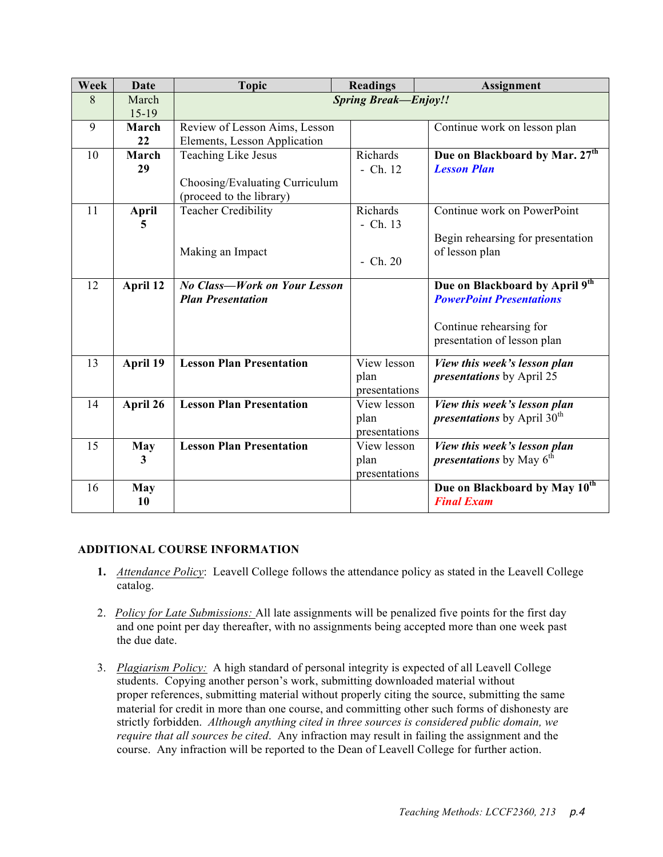| Week | Date         | <b>Topic</b>                        | <b>Readings</b> | Assignment                                  |  |  |
|------|--------------|-------------------------------------|-----------------|---------------------------------------------|--|--|
| 8    | March        | <b>Spring Break-Enjoy!!</b>         |                 |                                             |  |  |
|      | $15-19$      |                                     |                 |                                             |  |  |
| 9    | March        | Review of Lesson Aims, Lesson       |                 | Continue work on lesson plan                |  |  |
|      | 22           | Elements, Lesson Application        |                 |                                             |  |  |
| 10   | March        | Teaching Like Jesus                 | Richards        | Due on Blackboard by Mar. 27 <sup>th</sup>  |  |  |
|      | 29           |                                     | $-$ Ch. 12      | <b>Lesson Plan</b>                          |  |  |
|      |              | Choosing/Evaluating Curriculum      |                 |                                             |  |  |
|      |              | (proceed to the library)            |                 |                                             |  |  |
| 11   | <b>April</b> | <b>Teacher Credibility</b>          | Richards        | Continue work on PowerPoint                 |  |  |
|      | 5            |                                     | $-$ Ch. 13      |                                             |  |  |
|      |              |                                     |                 | Begin rehearsing for presentation           |  |  |
|      |              | Making an Impact                    |                 | of lesson plan                              |  |  |
|      |              |                                     | $-$ Ch. 20      |                                             |  |  |
| 12   | April 12     | <b>No Class-Work on Your Lesson</b> |                 | Due on Blackboard by April 9th              |  |  |
|      |              | <b>Plan Presentation</b>            |                 | <b>PowerPoint Presentations</b>             |  |  |
|      |              |                                     |                 |                                             |  |  |
|      |              |                                     |                 | Continue rehearsing for                     |  |  |
|      |              |                                     |                 | presentation of lesson plan                 |  |  |
|      |              |                                     |                 |                                             |  |  |
| 13   | April 19     | <b>Lesson Plan Presentation</b>     | View lesson     | View this week's lesson plan                |  |  |
|      |              |                                     | plan            | <i>presentations</i> by April 25            |  |  |
|      |              |                                     | presentations   |                                             |  |  |
| 14   | April 26     | <b>Lesson Plan Presentation</b>     | View lesson     | View this week's lesson plan                |  |  |
|      |              |                                     | plan            | <i>presentations</i> by April $30th$        |  |  |
|      |              |                                     | presentations   |                                             |  |  |
| 15   | May          | <b>Lesson Plan Presentation</b>     | View lesson     | View this week's lesson plan                |  |  |
|      | 3            |                                     | plan            | <i>presentations</i> by May 6 <sup>th</sup> |  |  |
|      |              |                                     | presentations   |                                             |  |  |
| 16   | May          |                                     |                 | Due on Blackboard by May 10 <sup>th</sup>   |  |  |
|      | 10           |                                     |                 | <b>Final Exam</b>                           |  |  |

#### **ADDITIONAL COURSE INFORMATION**

- **1.** *Attendance Policy*: Leavell College follows the attendance policy as stated in the Leavell College catalog.
- 2. *Policy for Late Submissions:* All late assignments will be penalized five points for the first day and one point per day thereafter, with no assignments being accepted more than one week past the due date.
- 3. *Plagiarism Policy:* A high standard of personal integrity is expected of all Leavell College students. Copying another person's work, submitting downloaded material without proper references, submitting material without properly citing the source, submitting the same material for credit in more than one course, and committing other such forms of dishonesty are strictly forbidden. *Although anything cited in three sources is considered public domain, we require that all sources be cited*. Any infraction may result in failing the assignment and the course. Any infraction will be reported to the Dean of Leavell College for further action.